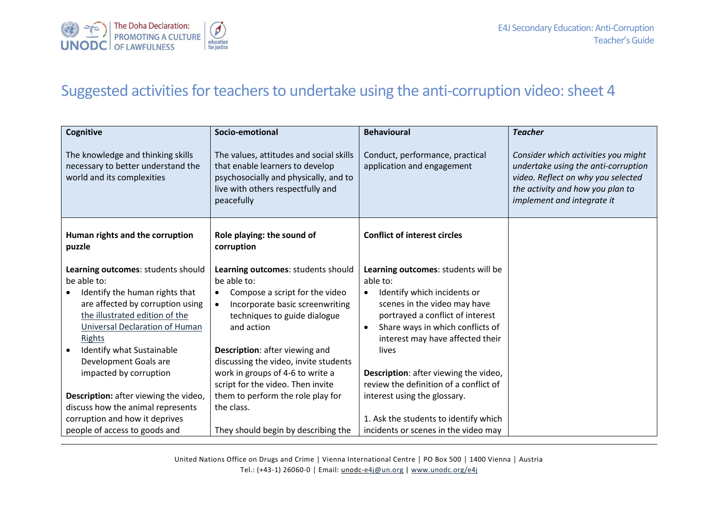

## Suggested activities for teachers to undertake using the anti-corruption video: sheet 4

| <b>Cognitive</b>                                                                                                                                                                                                                                                                             | Socio-emotional                                                                                                                                                                                                                                                                                                                       | <b>Behavioural</b>                                                                                                                                                                                                                                                                                                                       | <b>Teacher</b>                                                                                                                                                                     |
|----------------------------------------------------------------------------------------------------------------------------------------------------------------------------------------------------------------------------------------------------------------------------------------------|---------------------------------------------------------------------------------------------------------------------------------------------------------------------------------------------------------------------------------------------------------------------------------------------------------------------------------------|------------------------------------------------------------------------------------------------------------------------------------------------------------------------------------------------------------------------------------------------------------------------------------------------------------------------------------------|------------------------------------------------------------------------------------------------------------------------------------------------------------------------------------|
| The knowledge and thinking skills<br>necessary to better understand the<br>world and its complexities                                                                                                                                                                                        | The values, attitudes and social skills<br>that enable learners to develop<br>psychosocially and physically, and to<br>live with others respectfully and<br>peacefully                                                                                                                                                                | Conduct, performance, practical<br>application and engagement                                                                                                                                                                                                                                                                            | Consider which activities you might<br>undertake using the anti-corruption<br>video. Reflect on why you selected<br>the activity and how you plan to<br>implement and integrate it |
| Human rights and the corruption<br>puzzle                                                                                                                                                                                                                                                    | Role playing: the sound of<br>corruption                                                                                                                                                                                                                                                                                              | <b>Conflict of interest circles</b>                                                                                                                                                                                                                                                                                                      |                                                                                                                                                                                    |
| Learning outcomes: students should<br>be able to:<br>Identify the human rights that<br>are affected by corruption using<br>the illustrated edition of the<br>Universal Declaration of Human<br><b>Rights</b><br>Identify what Sustainable<br>Development Goals are<br>impacted by corruption | Learning outcomes: students should<br>be able to:<br>Compose a script for the video<br>$\bullet$<br>Incorporate basic screenwriting<br>techniques to guide dialogue<br>and action<br>Description: after viewing and<br>discussing the video, invite students<br>work in groups of 4-6 to write a<br>script for the video. Then invite | Learning outcomes: students will be<br>able to:<br>Identify which incidents or<br>٠<br>scenes in the video may have<br>portrayed a conflict of interest<br>Share ways in which conflicts of<br>$\bullet$<br>interest may have affected their<br>lives<br>Description: after viewing the video,<br>review the definition of a conflict of |                                                                                                                                                                                    |
| Description: after viewing the video,                                                                                                                                                                                                                                                        | them to perform the role play for                                                                                                                                                                                                                                                                                                     | interest using the glossary.                                                                                                                                                                                                                                                                                                             |                                                                                                                                                                                    |
| discuss how the animal represents                                                                                                                                                                                                                                                            | the class.                                                                                                                                                                                                                                                                                                                            |                                                                                                                                                                                                                                                                                                                                          |                                                                                                                                                                                    |
| corruption and how it deprives                                                                                                                                                                                                                                                               |                                                                                                                                                                                                                                                                                                                                       | 1. Ask the students to identify which                                                                                                                                                                                                                                                                                                    |                                                                                                                                                                                    |
| people of access to goods and                                                                                                                                                                                                                                                                | They should begin by describing the                                                                                                                                                                                                                                                                                                   | incidents or scenes in the video may                                                                                                                                                                                                                                                                                                     |                                                                                                                                                                                    |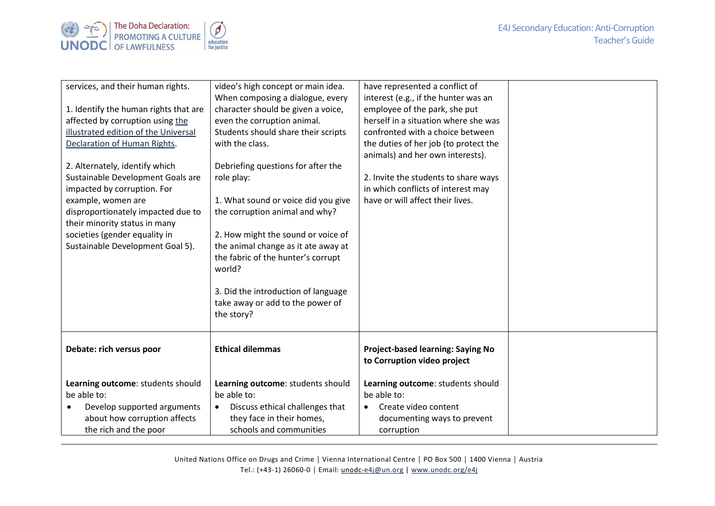



| services, and their human rights.<br>1. Identify the human rights that are<br>affected by corruption using the<br>illustrated edition of the Universal<br>Declaration of Human Rights.<br>2. Alternately, identify which<br>Sustainable Development Goals are<br>impacted by corruption. For<br>example, women are<br>disproportionately impacted due to<br>their minority status in many<br>societies (gender equality in<br>Sustainable Development Goal 5). | video's high concept or main idea.<br>When composing a dialogue, every<br>character should be given a voice,<br>even the corruption animal.<br>Students should share their scripts<br>with the class.<br>Debriefing questions for after the<br>role play:<br>1. What sound or voice did you give<br>the corruption animal and why?<br>2. How might the sound or voice of<br>the animal change as it ate away at<br>the fabric of the hunter's corrupt<br>world?<br>3. Did the introduction of language<br>take away or add to the power of<br>the story? | have represented a conflict of<br>interest (e.g., if the hunter was an<br>employee of the park, she put<br>herself in a situation where she was<br>confronted with a choice between<br>the duties of her job (to protect the<br>animals) and her own interests).<br>2. Invite the students to share ways<br>in which conflicts of interest may<br>have or will affect their lives. |  |
|----------------------------------------------------------------------------------------------------------------------------------------------------------------------------------------------------------------------------------------------------------------------------------------------------------------------------------------------------------------------------------------------------------------------------------------------------------------|----------------------------------------------------------------------------------------------------------------------------------------------------------------------------------------------------------------------------------------------------------------------------------------------------------------------------------------------------------------------------------------------------------------------------------------------------------------------------------------------------------------------------------------------------------|------------------------------------------------------------------------------------------------------------------------------------------------------------------------------------------------------------------------------------------------------------------------------------------------------------------------------------------------------------------------------------|--|
| Debate: rich versus poor                                                                                                                                                                                                                                                                                                                                                                                                                                       | <b>Ethical dilemmas</b>                                                                                                                                                                                                                                                                                                                                                                                                                                                                                                                                  | Project-based learning: Saying No<br>to Corruption video project                                                                                                                                                                                                                                                                                                                   |  |
| Learning outcome: students should<br>be able to:<br>Develop supported arguments<br>about how corruption affects<br>the rich and the poor                                                                                                                                                                                                                                                                                                                       | Learning outcome: students should<br>be able to:<br>Discuss ethical challenges that<br>$\bullet$<br>they face in their homes,<br>schools and communities                                                                                                                                                                                                                                                                                                                                                                                                 | Learning outcome: students should<br>be able to:<br>Create video content<br>$\bullet$<br>documenting ways to prevent<br>corruption                                                                                                                                                                                                                                                 |  |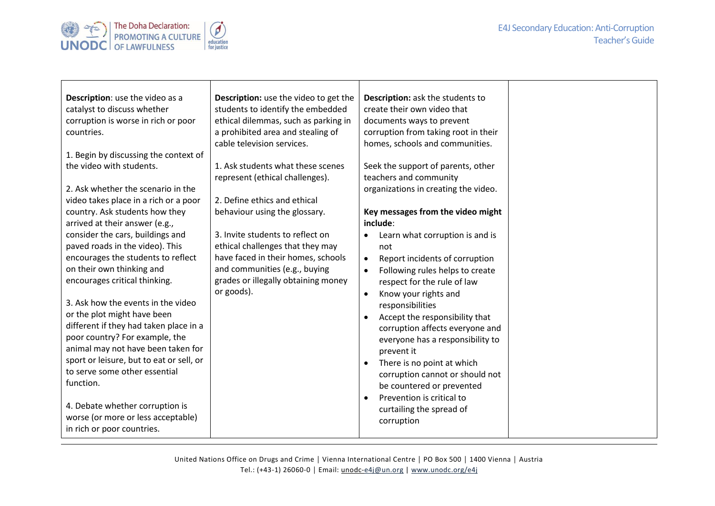## E4J Secondary Education: Anti-Corruption Teacher's Guide



| Description: use the video to get the<br>students to identify the embedded<br>ethical dilemmas, such as parking in<br>a prohibited area and stealing of<br>cable television services. | Description: ask the students to<br>create their own video that<br>documents ways to prevent<br>corruption from taking root in their<br>homes, schools and communities. |                                                                                                                                     |
|---------------------------------------------------------------------------------------------------------------------------------------------------------------------------------------|-------------------------------------------------------------------------------------------------------------------------------------------------------------------------|-------------------------------------------------------------------------------------------------------------------------------------|
|                                                                                                                                                                                       |                                                                                                                                                                         |                                                                                                                                     |
| 1. Ask students what these scenes<br>represent (ethical challenges).                                                                                                                  | Seek the support of parents, other<br>teachers and community                                                                                                            |                                                                                                                                     |
|                                                                                                                                                                                       | organizations in creating the video.                                                                                                                                    |                                                                                                                                     |
| 2. Define ethics and ethical                                                                                                                                                          |                                                                                                                                                                         |                                                                                                                                     |
| behaviour using the glossary.                                                                                                                                                         | Key messages from the video might<br>include:                                                                                                                           |                                                                                                                                     |
| 3. Invite students to reflect on                                                                                                                                                      | Learn what corruption is and is                                                                                                                                         |                                                                                                                                     |
| ethical challenges that they may                                                                                                                                                      | not                                                                                                                                                                     |                                                                                                                                     |
| have faced in their homes, schools                                                                                                                                                    | Report incidents of corruption<br>$\bullet$                                                                                                                             |                                                                                                                                     |
| and communities (e.g., buying                                                                                                                                                         | Following rules helps to create<br>$\bullet$                                                                                                                            |                                                                                                                                     |
|                                                                                                                                                                                       | respect for the rule of law                                                                                                                                             |                                                                                                                                     |
|                                                                                                                                                                                       | Know your rights and<br>$\bullet$                                                                                                                                       |                                                                                                                                     |
|                                                                                                                                                                                       | responsibilities                                                                                                                                                        |                                                                                                                                     |
|                                                                                                                                                                                       | Accept the responsibility that<br>$\bullet$                                                                                                                             |                                                                                                                                     |
|                                                                                                                                                                                       | corruption affects everyone and                                                                                                                                         |                                                                                                                                     |
|                                                                                                                                                                                       | everyone has a responsibility to                                                                                                                                        |                                                                                                                                     |
|                                                                                                                                                                                       | prevent it                                                                                                                                                              |                                                                                                                                     |
|                                                                                                                                                                                       | There is no point at which                                                                                                                                              |                                                                                                                                     |
|                                                                                                                                                                                       |                                                                                                                                                                         |                                                                                                                                     |
|                                                                                                                                                                                       |                                                                                                                                                                         |                                                                                                                                     |
|                                                                                                                                                                                       | $\bullet$                                                                                                                                                               |                                                                                                                                     |
|                                                                                                                                                                                       |                                                                                                                                                                         |                                                                                                                                     |
|                                                                                                                                                                                       |                                                                                                                                                                         |                                                                                                                                     |
|                                                                                                                                                                                       | grades or illegally obtaining money<br>or goods).                                                                                                                       | corruption cannot or should not<br>be countered or prevented<br>Prevention is critical to<br>curtailing the spread of<br>corruption |